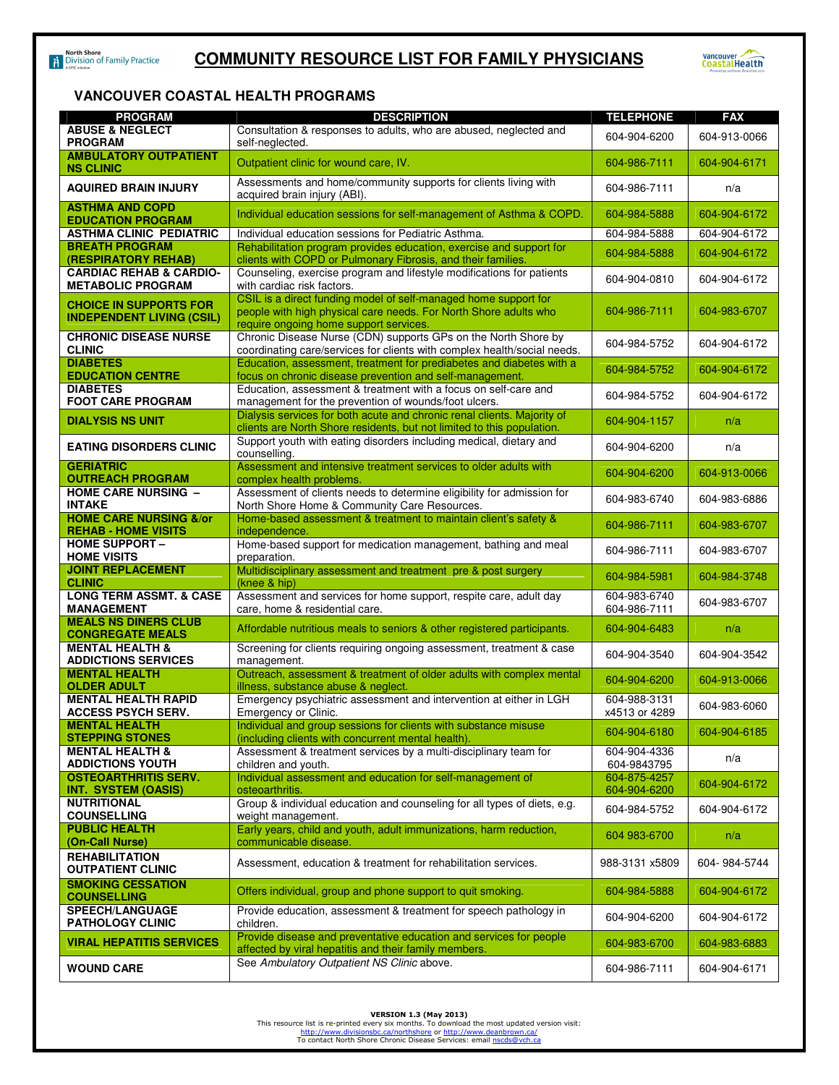

## **VANCOUVER COASTAL HEALTH PROGRAMS**

| <b>PROGRAM</b>                                                          | <b>DESCRIPTION</b>                                                                                                                                                            | <b>TELEPHONE</b>              | <b>FAX</b>   |
|-------------------------------------------------------------------------|-------------------------------------------------------------------------------------------------------------------------------------------------------------------------------|-------------------------------|--------------|
| <b>ABUSE &amp; NEGLECT</b><br><b>PROGRAM</b>                            | Consultation & responses to adults, who are abused, neglected and<br>self-neglected.                                                                                          | 604-904-6200                  | 604-913-0066 |
| <b>AMBULATORY OUTPATIENT</b><br><b>NS CLINIC</b>                        | Outpatient clinic for wound care, IV.                                                                                                                                         | 604-986-7111                  | 604-904-6171 |
| <b>AQUIRED BRAIN INJURY</b>                                             | Assessments and home/community supports for clients living with<br>acquired brain injury (ABI).                                                                               | 604-986-7111                  | n/a          |
| <b>ASTHMA AND COPD</b><br><b>EDUCATION PROGRAM</b>                      | Individual education sessions for self-management of Asthma & COPD.                                                                                                           | 604-984-5888                  | 604-904-6172 |
| <b>ASTHMA CLINIC PEDIATRIC</b>                                          | Individual education sessions for Pediatric Asthma.                                                                                                                           | 604-984-5888                  | 604-904-6172 |
| <b>BREATH PROGRAM</b><br><b>(RESPIRATORY REHAB)</b>                     | Rehabilitation program provides education, exercise and support for<br>clients with COPD or Pulmonary Fibrosis, and their families.                                           | 604-984-5888                  | 604-904-6172 |
| <b>CARDIAC REHAB &amp; CARDIO-</b><br><b>METABOLIC PROGRAM</b>          | Counseling, exercise program and lifestyle modifications for patients<br>with cardiac risk factors.                                                                           | 604-904-0810                  | 604-904-6172 |
| <b>CHOICE IN SUPPORTS FOR</b><br><b>INDEPENDENT LIVING (CSIL)</b>       | CSIL is a direct funding model of self-managed home support for<br>people with high physical care needs. For North Shore adults who<br>require ongoing home support services. | 604-986-7111                  | 604-983-6707 |
| <b>CHRONIC DISEASE NURSE</b><br><b>CLINIC</b>                           | Chronic Disease Nurse (CDN) supports GPs on the North Shore by<br>coordinating care/services for clients with complex health/social needs.                                    | 604-984-5752                  | 604-904-6172 |
| <b>DIABETES</b><br><b>EDUCATION CENTRE</b>                              | Education, assessment, treatment for prediabetes and diabetes with a<br>focus on chronic disease prevention and self-management.                                              | 604-984-5752                  | 604-904-6172 |
| <b>DIABETES</b><br><b>FOOT CARE PROGRAM</b>                             | Education, assessment & treatment with a focus on self-care and<br>management for the prevention of wounds/foot ulcers.                                                       | 604-984-5752                  | 604-904-6172 |
| <b>DIALYSIS NS UNIT</b>                                                 | Dialysis services for both acute and chronic renal clients. Majority of<br>clients are North Shore residents, but not limited to this population.                             | 604-904-1157                  | n/a          |
| <b>EATING DISORDERS CLINIC</b>                                          | Support youth with eating disorders including medical, dietary and<br>counselling.                                                                                            | 604-904-6200                  | n/a          |
| <b>GERIATRIC</b><br><b>OUTREACH PROGRAM</b>                             | Assessment and intensive treatment services to older adults with<br>complex health problems.                                                                                  | 604-904-6200                  | 604-913-0066 |
| <b>HOME CARE NURSING -</b><br><b>INTAKE</b>                             | Assessment of clients needs to determine eligibility for admission for<br>North Shore Home & Community Care Resources.                                                        | 604-983-6740                  | 604-983-6886 |
| <b>HOME CARE NURSING &amp;/or</b><br><b>REHAB - HOME VISITS</b>         | Home-based assessment & treatment to maintain client's safety &<br>independence.                                                                                              | 604-986-7111                  | 604-983-6707 |
| <b>HOME SUPPORT -</b><br><b>HOME VISITS</b>                             | Home-based support for medication management, bathing and meal<br>preparation.                                                                                                | 604-986-7111                  | 604-983-6707 |
| <b>JOINT REPLACEMENT</b><br><b>CLINIC</b>                               | Multidisciplinary assessment and treatment pre & post surgery<br>(knee & hip)                                                                                                 | 604-984-5981                  | 604-984-3748 |
| <b>LONG TERM ASSMT. &amp; CASE</b><br><b>MANAGEMENT</b>                 | Assessment and services for home support, respite care, adult day<br>care, home & residential care.                                                                           | 604-983-6740<br>604-986-7111  | 604-983-6707 |
| <b>MEALS NS DINERS CLUB</b><br><b>CONGREGATE MEALS</b>                  | Affordable nutritious meals to seniors & other registered participants.                                                                                                       | 604-904-6483                  | n/a          |
| <b>MENTAL HEALTH &amp;</b><br><b>ADDICTIONS SERVICES</b>                | Screening for clients requiring ongoing assessment, treatment & case<br>management.                                                                                           | 604-904-3540                  | 604-904-3542 |
| <b>MENTAL HEALTH</b><br><b>OLDER ADULT</b>                              | Outreach, assessment & treatment of older adults with complex mental<br>illness, substance abuse & neglect.                                                                   | 604-904-6200                  | 604-913-0066 |
| <b>MENTAL HEALTH RAPID</b><br><b>ACCESS PSYCH SERV.</b>                 | Emergency psychiatric assessment and intervention at either in LGH<br>Emergency or Clinic.                                                                                    | 604-988-3131<br>x4513 or 4289 | 604-983-6060 |
| <b>MENTAL HEALTH</b><br><b>STEPPING STONES</b>                          | Individual and group sessions for clients with substance misuse<br>(including clients with concurrent mental health).                                                         | 604-904-6180                  | 604-904-6185 |
| <b>MENTAL HEALTH &amp;</b><br><b>ADDICTIONS YOUTH</b>                   | Assessment & treatment services by a multi-disciplinary team for<br>children and youth.                                                                                       | 604-904-4336<br>604-9843795   | n/a          |
| <b>OSTEOARTHRITIS SERV.</b><br><b>INT. SYSTEM (OASIS)</b>               | Individual assessment and education for self-management of<br>osteoarthritis.                                                                                                 | 604-875-4257<br>604-904-6200  | 604-904-6172 |
| <b>NUTRITIONAL</b><br><b>COUNSELLING</b>                                | Group & individual education and counseling for all types of diets, e.g.<br>weight management.                                                                                | 604-984-5752                  | 604-904-6172 |
| <b>PUBLIC HEALTH</b><br>(On-Call Nurse)                                 | Early years, child and youth, adult immunizations, harm reduction,<br>communicable disease.                                                                                   | 604 983-6700                  | n/a          |
| <b>REHABILITATION</b><br><b>OUTPATIENT CLINIC</b>                       | Assessment, education & treatment for rehabilitation services.                                                                                                                | 988-3131 x5809                | 604-984-5744 |
| <b>SMOKING CESSATION</b>                                                | Offers individual, group and phone support to quit smoking.                                                                                                                   | 604-984-5888                  | 604-904-6172 |
| <b>COUNSELLING</b><br><b>SPEECH/LANGUAGE</b><br><b>PATHOLOGY CLINIC</b> | Provide education, assessment & treatment for speech pathology in<br>children.                                                                                                | 604-904-6200                  | 604-904-6172 |
| <b>VIRAL HEPATITIS SERVICES</b>                                         | Provide disease and preventative education and services for people                                                                                                            | 604-983-6700                  | 604-983-6883 |
| <b>WOUND CARE</b>                                                       | affected by viral hepatitis and their family members.<br>See Ambulatory Outpatient NS Clinic above.                                                                           | 604-986-7111                  | 604-904-6171 |
|                                                                         |                                                                                                                                                                               |                               |              |

**VERSION 1.3 (May 2013)**<br>This resource list is re-printed every six months. To download the most updated version visit:<br>http://www.divisionsbc.ca/northshore or http://www.deanbrown.ca/<br>To contact North Shore Chronic Diseas